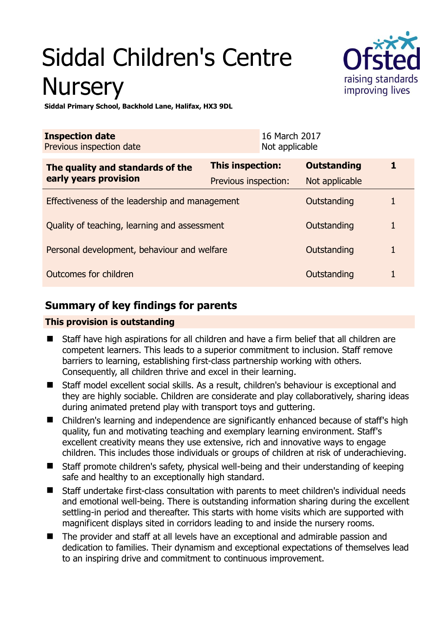# Siddal Children's Centre **Nursery**



**Siddal Primary School, Backhold Lane, Halifax, HX3 9DL** 

| <b>Inspection date</b><br>Previous inspection date |                         | 16 March 2017<br>Not applicable |                    |  |
|----------------------------------------------------|-------------------------|---------------------------------|--------------------|--|
| The quality and standards of the                   | <b>This inspection:</b> |                                 | <b>Outstanding</b> |  |
| early years provision                              | Previous inspection:    |                                 | Not applicable     |  |
| Effectiveness of the leadership and management     |                         |                                 | Outstanding        |  |
| Quality of teaching, learning and assessment       |                         |                                 | Outstanding        |  |
| Personal development, behaviour and welfare        |                         |                                 | Outstanding        |  |
| Outcomes for children<br>Outstanding               |                         |                                 |                    |  |

# **Summary of key findings for parents**

## **This provision is outstanding**

- Staff have high aspirations for all children and have a firm belief that all children are competent learners. This leads to a superior commitment to inclusion. Staff remove barriers to learning, establishing first-class partnership working with others. Consequently, all children thrive and excel in their learning.
- Staff model excellent social skills. As a result, children's behaviour is exceptional and they are highly sociable. Children are considerate and play collaboratively, sharing ideas during animated pretend play with transport toys and guttering.
- Children's learning and independence are significantly enhanced because of staff's high quality, fun and motivating teaching and exemplary learning environment. Staff's excellent creativity means they use extensive, rich and innovative ways to engage children. This includes those individuals or groups of children at risk of underachieving.
- Staff promote children's safety, physical well-being and their understanding of keeping safe and healthy to an exceptionally high standard.
- Staff undertake first-class consultation with parents to meet children's individual needs and emotional well-being. There is outstanding information sharing during the excellent settling-in period and thereafter. This starts with home visits which are supported with magnificent displays sited in corridors leading to and inside the nursery rooms.
- The provider and staff at all levels have an exceptional and admirable passion and dedication to families. Their dynamism and exceptional expectations of themselves lead to an inspiring drive and commitment to continuous improvement.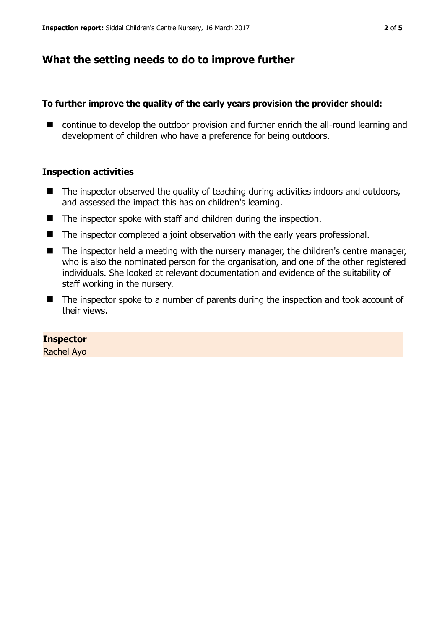## **What the setting needs to do to improve further**

### **To further improve the quality of the early years provision the provider should:**

■ continue to develop the outdoor provision and further enrich the all-round learning and development of children who have a preference for being outdoors.

### **Inspection activities**

- $\blacksquare$  The inspector observed the quality of teaching during activities indoors and outdoors, and assessed the impact this has on children's learning.
- The inspector spoke with staff and children during the inspection.
- The inspector completed a joint observation with the early years professional.
- The inspector held a meeting with the nursery manager, the children's centre manager, who is also the nominated person for the organisation, and one of the other registered individuals. She looked at relevant documentation and evidence of the suitability of staff working in the nursery.
- The inspector spoke to a number of parents during the inspection and took account of their views.

#### **Inspector**

Rachel Ayo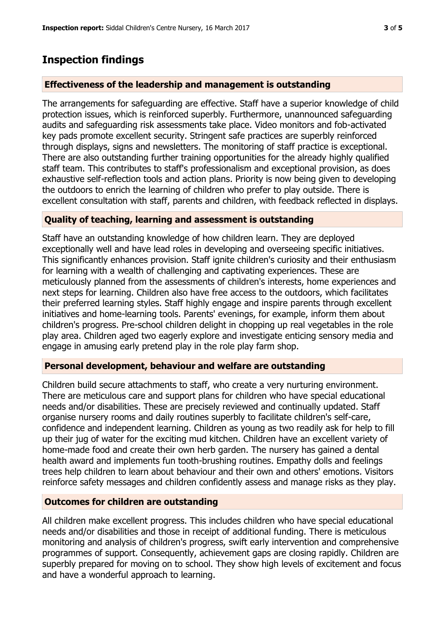# **Inspection findings**

## **Effectiveness of the leadership and management is outstanding**

The arrangements for safeguarding are effective. Staff have a superior knowledge of child protection issues, which is reinforced superbly. Furthermore, unannounced safeguarding audits and safeguarding risk assessments take place. Video monitors and fob-activated key pads promote excellent security. Stringent safe practices are superbly reinforced through displays, signs and newsletters. The monitoring of staff practice is exceptional. There are also outstanding further training opportunities for the already highly qualified staff team. This contributes to staff's professionalism and exceptional provision, as does exhaustive self-reflection tools and action plans. Priority is now being given to developing the outdoors to enrich the learning of children who prefer to play outside. There is excellent consultation with staff, parents and children, with feedback reflected in displays.

## **Quality of teaching, learning and assessment is outstanding**

Staff have an outstanding knowledge of how children learn. They are deployed exceptionally well and have lead roles in developing and overseeing specific initiatives. This significantly enhances provision. Staff ignite children's curiosity and their enthusiasm for learning with a wealth of challenging and captivating experiences. These are meticulously planned from the assessments of children's interests, home experiences and next steps for learning. Children also have free access to the outdoors, which facilitates their preferred learning styles. Staff highly engage and inspire parents through excellent initiatives and home-learning tools. Parents' evenings, for example, inform them about children's progress. Pre-school children delight in chopping up real vegetables in the role play area. Children aged two eagerly explore and investigate enticing sensory media and engage in amusing early pretend play in the role play farm shop.

## **Personal development, behaviour and welfare are outstanding**

Children build secure attachments to staff, who create a very nurturing environment. There are meticulous care and support plans for children who have special educational needs and/or disabilities. These are precisely reviewed and continually updated. Staff organise nursery rooms and daily routines superbly to facilitate children's self-care, confidence and independent learning. Children as young as two readily ask for help to fill up their jug of water for the exciting mud kitchen. Children have an excellent variety of home-made food and create their own herb garden. The nursery has gained a dental health award and implements fun tooth-brushing routines. Empathy dolls and feelings trees help children to learn about behaviour and their own and others' emotions. Visitors reinforce safety messages and children confidently assess and manage risks as they play.

## **Outcomes for children are outstanding**

All children make excellent progress. This includes children who have special educational needs and/or disabilities and those in receipt of additional funding. There is meticulous monitoring and analysis of children's progress, swift early intervention and comprehensive programmes of support. Consequently, achievement gaps are closing rapidly. Children are superbly prepared for moving on to school. They show high levels of excitement and focus and have a wonderful approach to learning.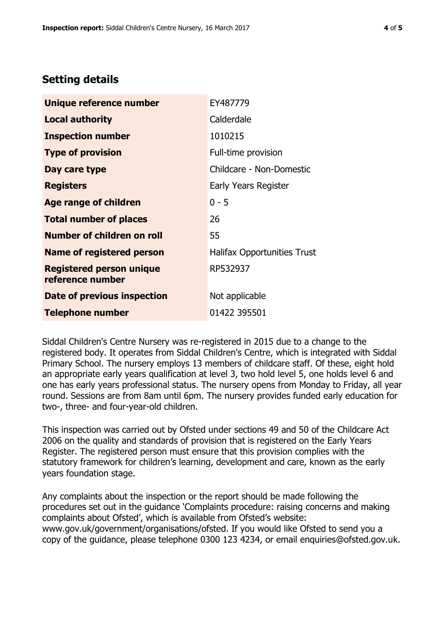## **Setting details**

| Unique reference number                             | EY487779                           |  |  |
|-----------------------------------------------------|------------------------------------|--|--|
| Local authority                                     | Calderdale                         |  |  |
| <b>Inspection number</b>                            | 1010215                            |  |  |
| <b>Type of provision</b>                            | Full-time provision                |  |  |
| Day care type                                       | Childcare - Non-Domestic           |  |  |
| <b>Registers</b>                                    | Early Years Register               |  |  |
| Age range of children                               | $0 - 5$                            |  |  |
| <b>Total number of places</b>                       | 26                                 |  |  |
| <b>Number of children on roll</b>                   | 55                                 |  |  |
| Name of registered person                           | <b>Halifax Opportunities Trust</b> |  |  |
| <b>Registered person unique</b><br>reference number | RP532937                           |  |  |
| Date of previous inspection                         | Not applicable                     |  |  |
| <b>Telephone number</b>                             | 01422 395501                       |  |  |

Siddal Children's Centre Nursery was re-registered in 2015 due to a change to the registered body. It operates from Siddal Children's Centre, which is integrated with Siddal Primary School. The nursery employs 13 members of childcare staff. Of these, eight hold an appropriate early years qualification at level 3, two hold level 5, one holds level 6 and one has early years professional status. The nursery opens from Monday to Friday, all year round. Sessions are from 8am until 6pm. The nursery provides funded early education for two-, three- and four-year-old children.

This inspection was carried out by Ofsted under sections 49 and 50 of the Childcare Act 2006 on the quality and standards of provision that is registered on the Early Years Register. The registered person must ensure that this provision complies with the statutory framework for children's learning, development and care, known as the early years foundation stage.

Any complaints about the inspection or the report should be made following the procedures set out in the guidance 'Complaints procedure: raising concerns and making complaints about Ofsted', which is available from Ofsted's website: www.gov.uk/government/organisations/ofsted. If you would like Ofsted to send you a copy of the guidance, please telephone 0300 123 4234, or email enquiries@ofsted.gov.uk.